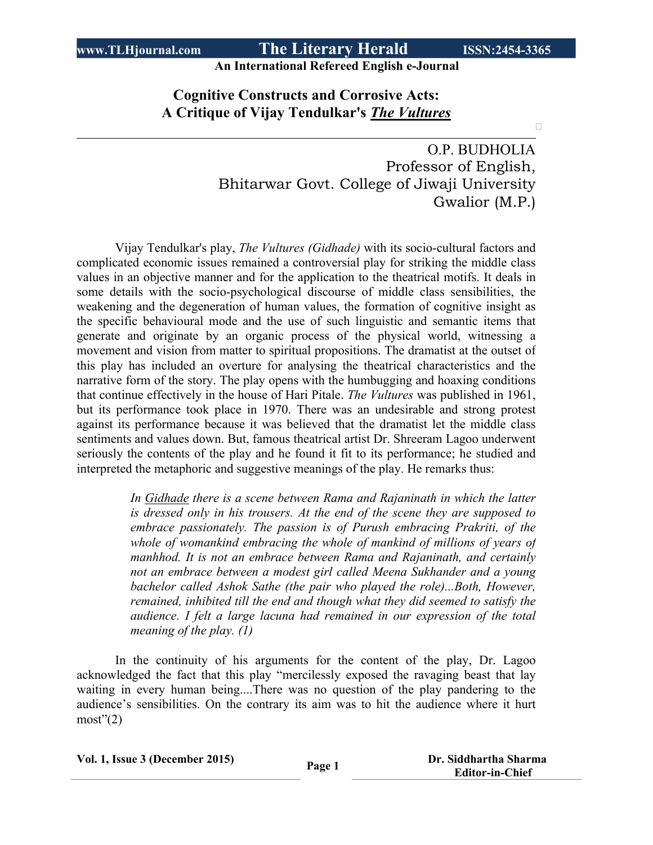$\Box$ 

**An International Refereed English e-Journal**

### **Cognitive Constructs and Corrosive Acts: A Critique of Vijay Tendulkar's** *The Vultures*

O.P. BUDHOLIA Professor of English, Bhitarwar Govt. College of Jiwaji University Gwalior (M.P.)

Vijay Tendulkar's play, *The Vultures (Gidhade)* with its socio-cultural factors and complicated economic issues remained a controversial play for striking the middle class values in an objective manner and for the application to the theatrical motifs. It deals in some details with the socio-psychological discourse of middle class sensibilities, the weakening and the degeneration of human values, the formation of cognitive insight as the specific behavioural mode and the use of such linguistic and semantic items that generate and originate by an organic process of the physical world, witnessing a movement and vision from matter to spiritual propositions. The dramatist at the outset of this play has included an overture for analysing the theatrical characteristics and the narrative form of the story. The play opens with the humbugging and hoaxing conditions that continue effectively in the house of Hari Pitale. *The Vultures* was published in 1961, but its performance took place in 1970. There was an undesirable and strong protest against its performance because it was believed that the dramatist let the middle class sentiments and values down. But, famous theatrical artist Dr. Shreeram Lagoo underwent seriously the contents of the play and he found it fit to its performance; he studied and interpreted the metaphoric and suggestive meanings of the play. He remarks thus:

> *In Gidhade there is a scene between Rama and Rajaninath in which the latter is dressed only in his trousers. At the end of the scene they are supposed to embrace passionately. The passion is of Purush embracing Prakriti, of the whole of womankind embracing the whole of mankind of millions of years of manhhod. It is not an embrace between Rama and Rajaninath, and certainly not an embrace between a modest girl called Meena Sukhander and a young bachelor called Ashok Sathe (the pair who played the role)...Both, However, remained, inhibited till the end and though what they did seemed to satisfy the audience. I felt a large lacuna had remained in our expression of the total meaning of the play. (1)*

In the continuity of his arguments for the content of the play, Dr. Lagoo acknowledged the fact that this play "mercilessly exposed the ravaging beast that lay waiting in every human being....There was no question of the play pandering to the audience's sensibilities. On the contrary its aim was to hit the audience where it hurt  $most"(2)$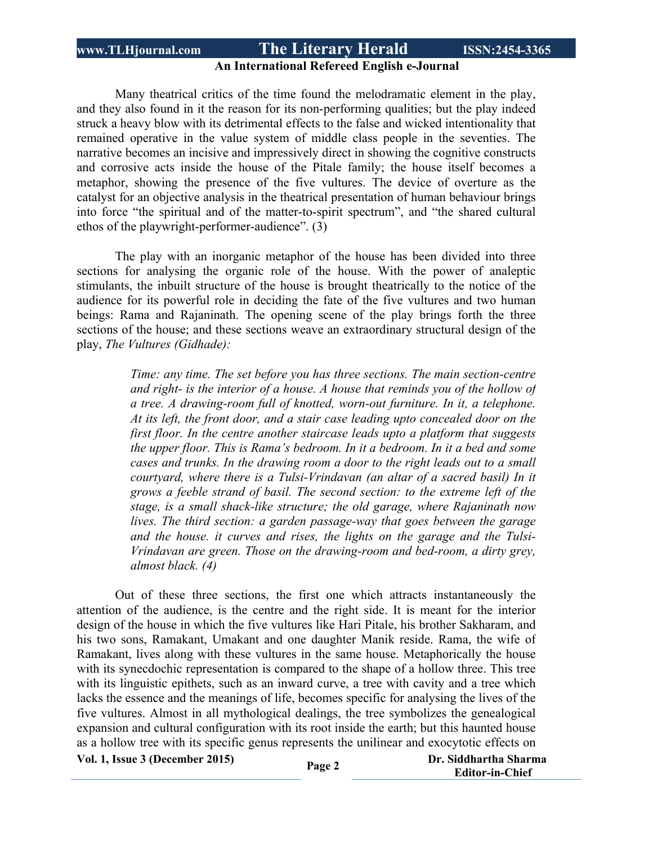### **An International Refereed English e-Journal**

Many theatrical critics of the time found the melodramatic element in the play, and they also found in it the reason for its non-performing qualities; but the play indeed struck a heavy blow with its detrimental effects to the false and wicked intentionality that remained operative in the value system of middle class people in the seventies. The narrative becomes an incisive and impressively direct in showing the cognitive constructs and corrosive acts inside the house of the Pitale family; the house itself becomes a metaphor, showing the presence of the five vultures. The device of overture as the catalyst for an objective analysis in the theatrical presentation of human behaviour brings into force "the spiritual and of the matter-to-spirit spectrum", and "the shared cultural ethos of the playwright-performer-audience". (3)

The play with an inorganic metaphor of the house has been divided into three sections for analysing the organic role of the house. With the power of analeptic stimulants, the inbuilt structure of the house is brought theatrically to the notice of the audience for its powerful role in deciding the fate of the five vultures and two human beings: Rama and Rajaninath. The opening scene of the play brings forth the three sections of the house; and these sections weave an extraordinary structural design of the play, *The Vultures (Gidhade):*

> *Time: any time. The set before you has three sections. The main section-centre and right- is the interior of a house. A house that reminds you of the hollow of a tree. A drawing-room full of knotted, worn-out furniture. In it, a telephone. At its left, the front door, and a stair case leading upto concealed door on the first floor. In the centre another staircase leads upto a platform that suggests the upper floor. This is Rama's bedroom. In it a bedroom. In it a bed and some cases and trunks. In the drawing room a door to the right leads out to a small courtyard, where there is a Tulsi-Vrindavan (an altar of a sacred basil) In it grows a feeble strand of basil. The second section: to the extreme left of the stage, is a small shack-like structure; the old garage, where Rajaninath now lives. The third section: a garden passage-way that goes between the garage and the house. it curves and rises, the lights on the garage and the Tulsi-Vrindavan are green. Those on the drawing-room and bed-room, a dirty grey, almost black. (4)*

Out of these three sections, the first one which attracts instantaneously the attention of the audience, is the centre and the right side. It is meant for the interior design of the house in which the five vultures like Hari Pitale, his brother Sakharam, and his two sons, Ramakant, Umakant and one daughter Manik reside. Rama, the wife of Ramakant, lives along with these vultures in the same house. Metaphorically the house with its synecdochic representation is compared to the shape of a hollow three. This tree with its linguistic epithets, such as an inward curve, a tree with cavity and a tree which lacks the essence and the meanings of life, becomes specific for analysing the lives of the five vultures. Almost in all mythological dealings, the tree symbolizes the genealogical expansion and cultural configuration with its root inside the earth; but this haunted house as a hollow tree with its specific genus represents the unilinear and exocytotic effects on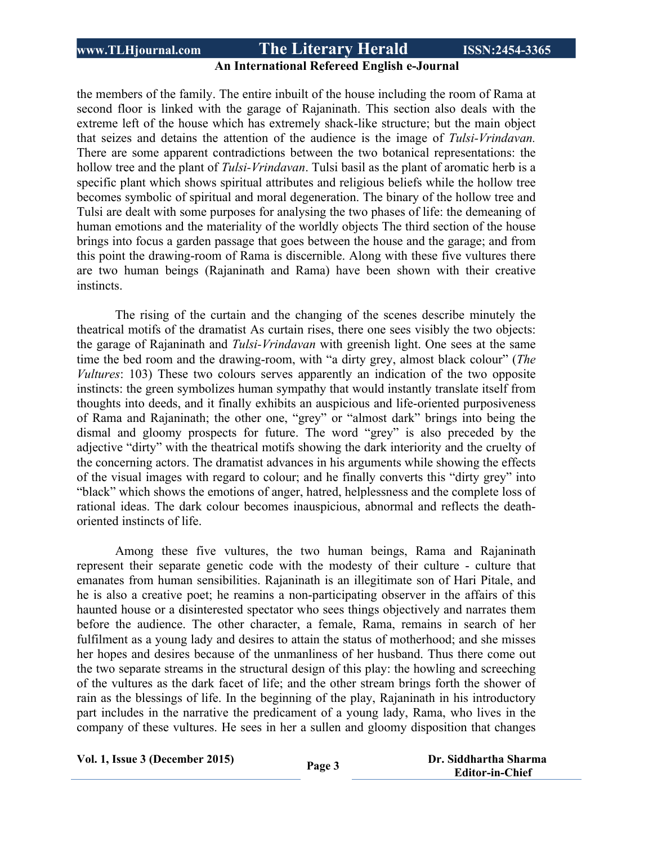#### **An International Refereed English e-Journal**

the members of the family. The entire inbuilt of the house including the room of Rama at second floor is linked with the garage of Rajaninath. This section also deals with the extreme left of the house which has extremely shack-like structure; but the main object that seizes and detains the attention of the audience is the image of *Tulsi-Vrindavan.* There are some apparent contradictions between the two botanical representations: the hollow tree and the plant of *Tulsi-Vrindavan*. Tulsi basil as the plant of aromatic herb is a specific plant which shows spiritual attributes and religious beliefs while the hollow tree becomes symbolic of spiritual and moral degeneration. The binary of the hollow tree and Tulsi are dealt with some purposes for analysing the two phases of life: the demeaning of human emotions and the materiality of the worldly objects The third section of the house brings into focus a garden passage that goes between the house and the garage; and from this point the drawing-room of Rama is discernible. Along with these five vultures there are two human beings (Rajaninath and Rama) have been shown with their creative instincts.

The rising of the curtain and the changing of the scenes describe minutely the theatrical motifs of the dramatist As curtain rises, there one sees visibly the two objects: the garage of Rajaninath and *Tulsi-Vrindavan* with greenish light. One sees at the same time the bed room and the drawing-room, with "a dirty grey, almost black colour" (*The Vultures*: 103) These two colours serves apparently an indication of the two opposite instincts: the green symbolizes human sympathy that would instantly translate itself from thoughts into deeds, and it finally exhibits an auspicious and life-oriented purposiveness of Rama and Rajaninath; the other one, "grey" or "almost dark" brings into being the dismal and gloomy prospects for future. The word "grey" is also preceded by the adjective "dirty" with the theatrical motifs showing the dark interiority and the cruelty of the concerning actors. The dramatist advances in his arguments while showing the effects of the visual images with regard to colour; and he finally converts this "dirty grey" into "black" which shows the emotions of anger, hatred, helplessness and the complete loss of rational ideas. The dark colour becomes inauspicious, abnormal and reflects the deathoriented instincts of life.

Among these five vultures, the two human beings, Rama and Rajaninath represent their separate genetic code with the modesty of their culture - culture that emanates from human sensibilities. Rajaninath is an illegitimate son of Hari Pitale, and he is also a creative poet; he reamins a non-participating observer in the affairs of this haunted house or a disinterested spectator who sees things objectively and narrates them before the audience. The other character, a female, Rama, remains in search of her fulfilment as a young lady and desires to attain the status of motherhood; and she misses her hopes and desires because of the unmanliness of her husband. Thus there come out the two separate streams in the structural design of this play: the howling and screeching of the vultures as the dark facet of life; and the other stream brings forth the shower of rain as the blessings of life. In the beginning of the play, Rajaninath in his introductory part includes in the narrative the predicament of a young lady, Rama, who lives in the company of these vultures. He sees in her a sullen and gloomy disposition that changes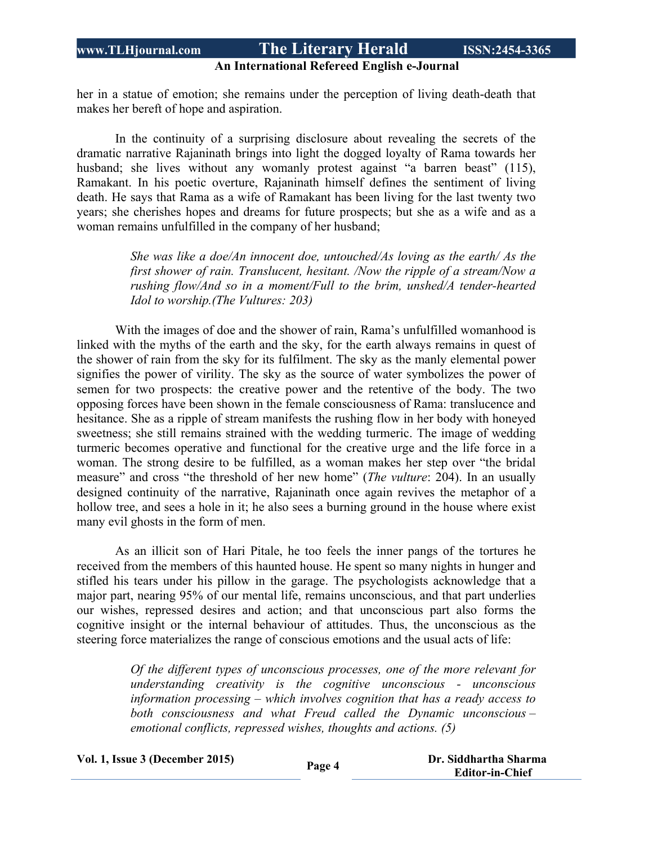#### **An International Refereed English e-Journal**

her in a statue of emotion; she remains under the perception of living death-death that makes her bereft of hope and aspiration.

In the continuity of a surprising disclosure about revealing the secrets of the dramatic narrative Rajaninath brings into light the dogged loyalty of Rama towards her husband; she lives without any womanly protest against "a barren beast" (115), Ramakant. In his poetic overture, Rajaninath himself defines the sentiment of living death. He says that Rama as a wife of Ramakant has been living for the last twenty two years; she cherishes hopes and dreams for future prospects; but she as a wife and as a woman remains unfulfilled in the company of her husband;

> *She was like a doe/An innocent doe, untouched/As loving as the earth/ As the first shower of rain. Translucent, hesitant. /Now the ripple of a stream/Now a rushing flow/And so in a moment/Full to the brim, unshed/A tender-hearted Idol to worship.(The Vultures: 203)*

With the images of doe and the shower of rain, Rama's unfulfilled womanhood is linked with the myths of the earth and the sky, for the earth always remains in quest of the shower of rain from the sky for its fulfilment. The sky as the manly elemental power signifies the power of virility. The sky as the source of water symbolizes the power of semen for two prospects: the creative power and the retentive of the body. The two opposing forces have been shown in the female consciousness of Rama: translucence and hesitance. She as a ripple of stream manifests the rushing flow in her body with honeyed sweetness; she still remains strained with the wedding turmeric. The image of wedding turmeric becomes operative and functional for the creative urge and the life force in a woman. The strong desire to be fulfilled, as a woman makes her step over "the bridal measure" and cross "the threshold of her new home" (*The vulture*: 204). In an usually designed continuity of the narrative, Rajaninath once again revives the metaphor of a hollow tree, and sees a hole in it; he also sees a burning ground in the house where exist many evil ghosts in the form of men.

As an illicit son of Hari Pitale, he too feels the inner pangs of the tortures he received from the members of this haunted house. He spent so many nights in hunger and stifled his tears under his pillow in the garage. The psychologists acknowledge that a major part, nearing 95% of our mental life, remains unconscious, and that part underlies our wishes, repressed desires and action; and that unconscious part also forms the cognitive insight or the internal behaviour of attitudes. Thus, the unconscious as the steering force materializes the range of conscious emotions and the usual acts of life:

> *Of the different types of unconscious processes, one of the more relevant for understanding creativity is the cognitive unconscious - unconscious information processing – which involves cognition that has a ready access to both consciousness and what Freud called the Dynamic unconscious – emotional conflicts, repressed wishes, thoughts and actions. (5)*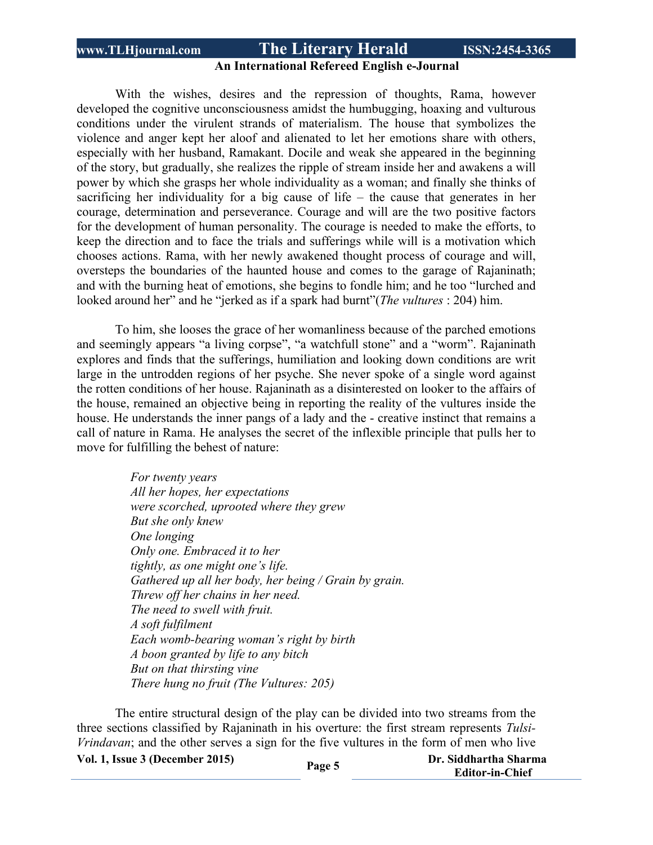### **An International Refereed English e-Journal**

With the wishes, desires and the repression of thoughts, Rama, however developed the cognitive unconsciousness amidst the humbugging, hoaxing and vulturous conditions under the virulent strands of materialism. The house that symbolizes the violence and anger kept her aloof and alienated to let her emotions share with others, especially with her husband, Ramakant. Docile and weak she appeared in the beginning of the story, but gradually, she realizes the ripple of stream inside her and awakens a will power by which she grasps her whole individuality as a woman; and finally she thinks of sacrificing her individuality for a big cause of life – the cause that generates in her courage, determination and perseverance. Courage and will are the two positive factors for the development of human personality. The courage is needed to make the efforts, to keep the direction and to face the trials and sufferings while will is a motivation which chooses actions. Rama, with her newly awakened thought process of courage and will, oversteps the boundaries of the haunted house and comes to the garage of Rajaninath; and with the burning heat of emotions, she begins to fondle him; and he too "lurched and looked around her" and he "jerked as if a spark had burnt"(*The vultures* : 204) him.

To him, she looses the grace of her womanliness because of the parched emotions and seemingly appears "a living corpse", "a watchfull stone" and a "worm". Rajaninath explores and finds that the sufferings, humiliation and looking down conditions are writ large in the untrodden regions of her psyche. She never spoke of a single word against the rotten conditions of her house. Rajaninath as a disinterested on looker to the affairs of the house, remained an objective being in reporting the reality of the vultures inside the house. He understands the inner pangs of a lady and the - creative instinct that remains a call of nature in Rama. He analyses the secret of the inflexible principle that pulls her to move for fulfilling the behest of nature:

> *For twenty years All her hopes, her expectations were scorched, uprooted where they grew But she only knew One longing Only one. Embraced it to her tightly, as one might one's life. Gathered up all her body, her being / Grain by grain. Threw off her chains in her need. The need to swell with fruit. A soft fulfilment Each womb-bearing woman's right by birth A boon granted by life to any bitch But on that thirsting vine There hung no fruit (The Vultures: 205)*

The entire structural design of the play can be divided into two streams from the three sections classified by Rajaninath in his overture: the first stream represents *Tulsi-Vrindavan*; and the other serves a sign for the five vultures in the form of men who live

**Vol. 1, Issue <sup>3</sup> (December 2015) Page <sup>5</sup>**

 **Dr. Siddhartha Sharma Editor-in-Chief**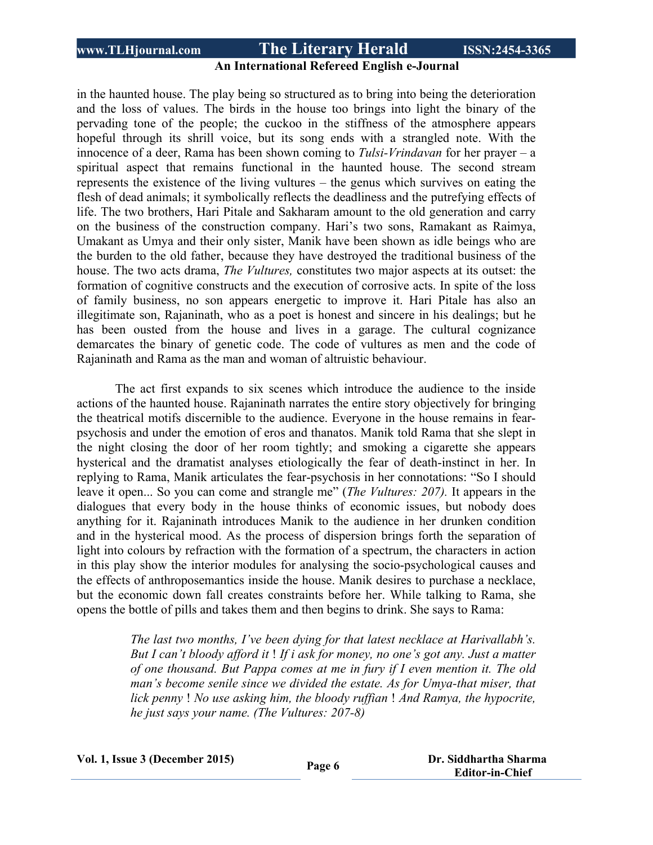#### **An International Refereed English e-Journal**

in the haunted house. The play being so structured as to bring into being the deterioration and the loss of values. The birds in the house too brings into light the binary of the pervading tone of the people; the cuckoo in the stiffness of the atmosphere appears hopeful through its shrill voice, but its song ends with a strangled note. With the innocence of a deer, Rama has been shown coming to *Tulsi-Vrindavan* for her prayer – a spiritual aspect that remains functional in the haunted house. The second stream represents the existence of the living vultures – the genus which survives on eating the flesh of dead animals; it symbolically reflects the deadliness and the putrefying effects of life. The two brothers, Hari Pitale and Sakharam amount to the old generation and carry on the business of the construction company. Hari's two sons, Ramakant as Raimya, Umakant as Umya and their only sister, Manik have been shown as idle beings who are the burden to the old father, because they have destroyed the traditional business of the house. The two acts drama, *The Vultures,* constitutes two major aspects at its outset: the formation of cognitive constructs and the execution of corrosive acts. In spite of the loss of family business, no son appears energetic to improve it. Hari Pitale has also an illegitimate son, Rajaninath, who as a poet is honest and sincere in his dealings; but he has been ousted from the house and lives in a garage. The cultural cognizance demarcates the binary of genetic code. The code of vultures as men and the code of Rajaninath and Rama as the man and woman of altruistic behaviour.

The act first expands to six scenes which introduce the audience to the inside actions of the haunted house. Rajaninath narrates the entire story objectively for bringing the theatrical motifs discernible to the audience. Everyone in the house remains in fearpsychosis and under the emotion of eros and thanatos. Manik told Rama that she slept in the night closing the door of her room tightly; and smoking a cigarette she appears hysterical and the dramatist analyses etiologically the fear of death-instinct in her. In replying to Rama, Manik articulates the fear-psychosis in her connotations: "So I should leave it open... So you can come and strangle me" (*The Vultures: 207).* It appears in the dialogues that every body in the house thinks of economic issues, but nobody does anything for it. Rajaninath introduces Manik to the audience in her drunken condition and in the hysterical mood. As the process of dispersion brings forth the separation of light into colours by refraction with the formation of a spectrum, the characters in action in this play show the interior modules for analysing the socio-psychological causes and the effects of anthroposemantics inside the house. Manik desires to purchase a necklace, but the economic down fall creates constraints before her. While talking to Rama, she opens the bottle of pills and takes them and then begins to drink. She says to Rama:

> *The last two months, I've been dying for that latest necklace at Harivallabh's. But I can't bloody afford it* ! *If i ask for money, no one's got any. Just a matter of one thousand. But Pappa comes at me in fury if I even mention it. The old man's become senile since we divided the estate. As for Umya-that miser, that lick penny* ! *No use asking him, the bloody ruffian* ! *And Ramya, the hypocrite, he just says your name. (The Vultures: 207-8)*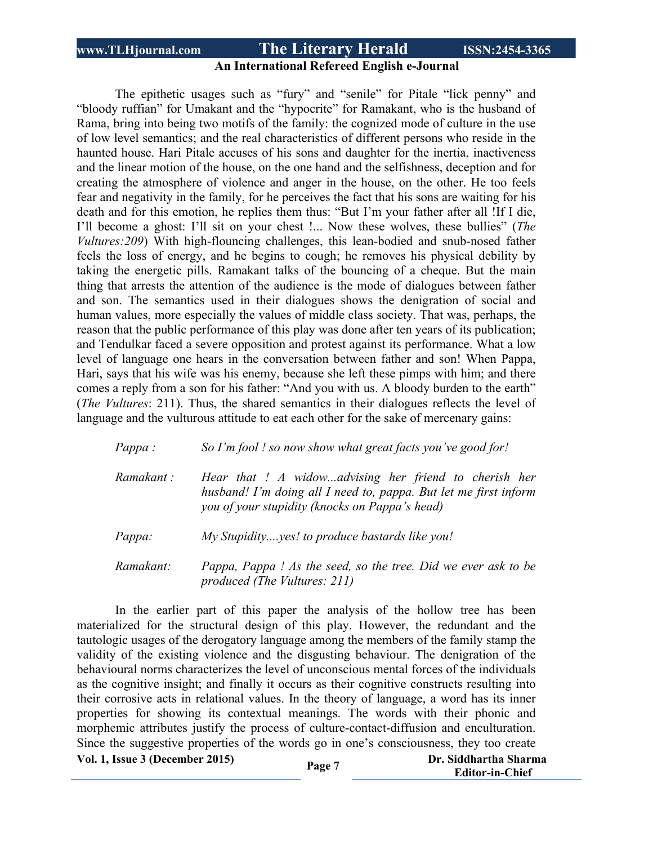### **An International Refereed English e-Journal**

The epithetic usages such as "fury" and "senile" for Pitale "lick penny" and "bloody ruffian" for Umakant and the "hypocrite" for Ramakant, who is the husband of Rama, bring into being two motifs of the family: the cognized mode of culture in the use of low level semantics; and the real characteristics of different persons who reside in the haunted house. Hari Pitale accuses of his sons and daughter for the inertia, inactiveness and the linear motion of the house, on the one hand and the selfishness, deception and for creating the atmosphere of violence and anger in the house, on the other. He too feels fear and negativity in the family, for he perceives the fact that his sons are waiting for his death and for this emotion, he replies them thus: "But I'm your father after all !If I die, I'll become a ghost: I'll sit on your chest !... Now these wolves, these bullies" (*The Vultures:209*) With high-flouncing challenges, this lean-bodied and snub-nosed father feels the loss of energy, and he begins to cough; he removes his physical debility by taking the energetic pills. Ramakant talks of the bouncing of a cheque. But the main thing that arrests the attention of the audience is the mode of dialogues between father and son. The semantics used in their dialogues shows the denigration of social and human values, more especially the values of middle class society. That was, perhaps, the reason that the public performance of this play was done after ten years of its publication; and Tendulkar faced a severe opposition and protest against its performance. What a low level of language one hears in the conversation between father and son! When Pappa, Hari, says that his wife was his enemy, because she left these pimps with him; and there comes a reply from a son for his father: "And you with us. A bloody burden to the earth" (*The Vultures*: 211). Thus, the shared semantics in their dialogues reflects the level of language and the vulturous attitude to eat each other for the sake of mercenary gains:

| $Pappa$ :  | So I'm fool ! so now show what great facts you've good for!                                                                                                                 |
|------------|-----------------------------------------------------------------------------------------------------------------------------------------------------------------------------|
| Ramakant : | Hear that ! A widowadvising her friend to cherish her<br>husband! I'm doing all I need to, pappa. But let me first inform<br>you of your stupidity (knocks on Pappa's head) |
| Pappa:     | My Stupidityyes! to produce bastards like you!                                                                                                                              |
| Ramakant:  | Pappa, Pappa! As the seed, so the tree. Did we ever ask to be<br>produced (The Vultures: 211)                                                                               |

**Vol. 1, Issue <sup>3</sup> (December 2015) Page <sup>7</sup> Dr. Siddhartha Sharma** In the earlier part of this paper the analysis of the hollow tree has been materialized for the structural design of this play. However, the redundant and the tautologic usages of the derogatory language among the members of the family stamp the validity of the existing violence and the disgusting behaviour. The denigration of the behavioural norms characterizes the level of unconscious mental forces of the individuals as the cognitive insight; and finally it occurs as their cognitive constructs resulting into their corrosive acts in relational values. In the theory of language, a word has its inner properties for showing its contextual meanings. The words with their phonic and morphemic attributes justify the process of culture-contact-diffusion and enculturation. Since the suggestive properties of the words go in one's consciousness, they too create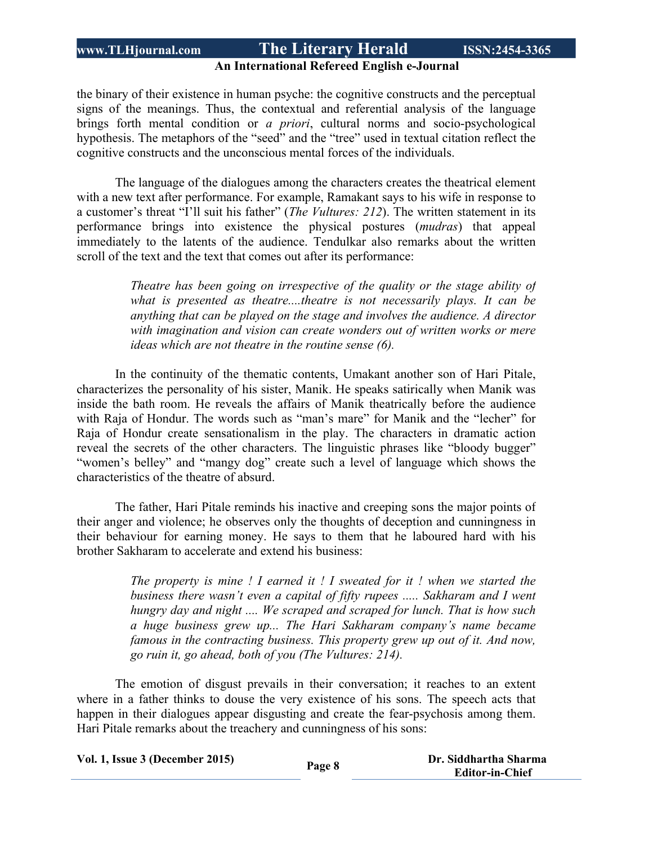#### **An International Refereed English e-Journal**

the binary of their existence in human psyche: the cognitive constructs and the perceptual signs of the meanings. Thus, the contextual and referential analysis of the language brings forth mental condition or *a priori*, cultural norms and socio-psychological hypothesis. The metaphors of the "seed" and the "tree" used in textual citation reflect the cognitive constructs and the unconscious mental forces of the individuals.

The language of the dialogues among the characters creates the theatrical element with a new text after performance. For example, Ramakant says to his wife in response to a customer's threat "I'll suit his father" (*The Vultures: 212*). The written statement in its performance brings into existence the physical postures (*mudras*) that appeal immediately to the latents of the audience. Tendulkar also remarks about the written scroll of the text and the text that comes out after its performance:

> *Theatre has been going on irrespective of the quality or the stage ability of what is presented as theatre....theatre is not necessarily plays. It can be anything that can be played on the stage and involves the audience. A director with imagination and vision can create wonders out of written works or mere ideas which are not theatre in the routine sense (6).*

In the continuity of the thematic contents, Umakant another son of Hari Pitale, characterizes the personality of his sister, Manik. He speaks satirically when Manik was inside the bath room. He reveals the affairs of Manik theatrically before the audience with Raja of Hondur. The words such as "man's mare" for Manik and the "lecher" for Raja of Hondur create sensationalism in the play. The characters in dramatic action reveal the secrets of the other characters. The linguistic phrases like "bloody bugger" "women's belley" and "mangy dog" create such a level of language which shows the characteristics of the theatre of absurd.

The father, Hari Pitale reminds his inactive and creeping sons the major points of their anger and violence; he observes only the thoughts of deception and cunningness in their behaviour for earning money. He says to them that he laboured hard with his brother Sakharam to accelerate and extend his business:

> *The property is mine ! I earned it ! I sweated for it ! when we started the business there wasn't even a capital of fifty rupees ..... Sakharam and I went hungry day and night .... We scraped and scraped for lunch. That is how such a huge business grew up... The Hari Sakharam company's name became famous in the contracting business. This property grew up out of it. And now, go ruin it, go ahead, both of you (The Vultures: 214).*

The emotion of disgust prevails in their conversation; it reaches to an extent where in a father thinks to douse the very existence of his sons. The speech acts that happen in their dialogues appear disgusting and create the fear-psychosis among them. Hari Pitale remarks about the treachery and cunningness of his sons:

| Vol. 1, Issue 3 (December 2015) |        | Dr. Siddhartha Sharma  |
|---------------------------------|--------|------------------------|
|                                 | Page 8 | <b>Editor-in-Chief</b> |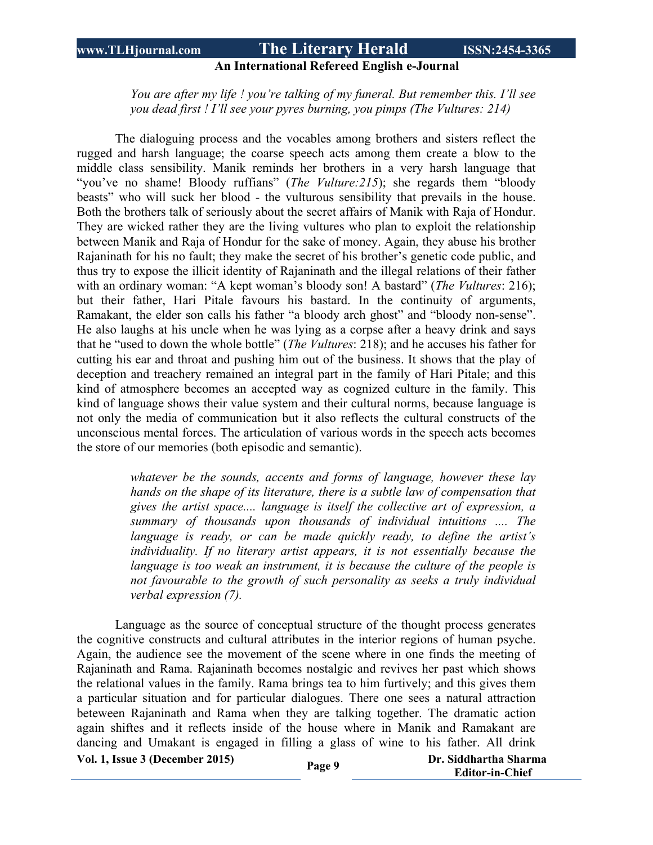#### **An International Refereed English e-Journal**

*You are after my life ! you're talking of my funeral. But remember this. I'll see you dead first ! I'll see your pyres burning, you pimps (The Vultures: 214)*

The dialoguing process and the vocables among brothers and sisters reflect the rugged and harsh language; the coarse speech acts among them create a blow to the middle class sensibility. Manik reminds her brothers in a very harsh language that "you've no shame! Bloody ruffians" (*The Vulture:215*); she regards them "bloody beasts" who will suck her blood - the vulturous sensibility that prevails in the house. Both the brothers talk of seriously about the secret affairs of Manik with Raja of Hondur. They are wicked rather they are the living vultures who plan to exploit the relationship between Manik and Raja of Hondur for the sake of money. Again, they abuse his brother Rajaninath for his no fault; they make the secret of his brother's genetic code public, and thus try to expose the illicit identity of Rajaninath and the illegal relations of their father with an ordinary woman: "A kept woman's bloody son! A bastard" (*The Vultures*: 216); but their father, Hari Pitale favours his bastard. In the continuity of arguments, Ramakant, the elder son calls his father "a bloody arch ghost" and "bloody non-sense". He also laughs at his uncle when he was lying as a corpse after a heavy drink and says that he "used to down the whole bottle" (*The Vultures*: 218); and he accuses his father for cutting his ear and throat and pushing him out of the business. It shows that the play of deception and treachery remained an integral part in the family of Hari Pitale; and this kind of atmosphere becomes an accepted way as cognized culture in the family. This kind of language shows their value system and their cultural norms, because language is not only the media of communication but it also reflects the cultural constructs of the unconscious mental forces. The articulation of various words in the speech acts becomes the store of our memories (both episodic and semantic).

> *whatever be the sounds, accents and forms of language, however these lay hands on the shape of its literature, there is a subtle law of compensation that gives the artist space.... language is itself the collective art of expression, a summary of thousands upon thousands of individual intuitions .... The language is ready, or can be made quickly ready, to define the artist's individuality. If no literary artist appears, it is not essentially because the language is too weak an instrument, it is because the culture of the people is not favourable to the growth of such personality as seeks a truly individual verbal expression (7).*

Language as the source of conceptual structure of the thought process generates the cognitive constructs and cultural attributes in the interior regions of human psyche. Again, the audience see the movement of the scene where in one finds the meeting of Rajaninath and Rama. Rajaninath becomes nostalgic and revives her past which shows the relational values in the family. Rama brings tea to him furtively; and this gives them a particular situation and for particular dialogues. There one sees a natural attraction beteween Rajaninath and Rama when they are talking together. The dramatic action again shiftes and it reflects inside of the house where in Manik and Ramakant are dancing and Umakant is engaged in filling a glass of wine to his father. All drink

**Vol. 1, Issue <sup>3</sup> (December 2015) Page <sup>9</sup>**

 **Dr. Siddhartha Sharma Editor-in-Chief**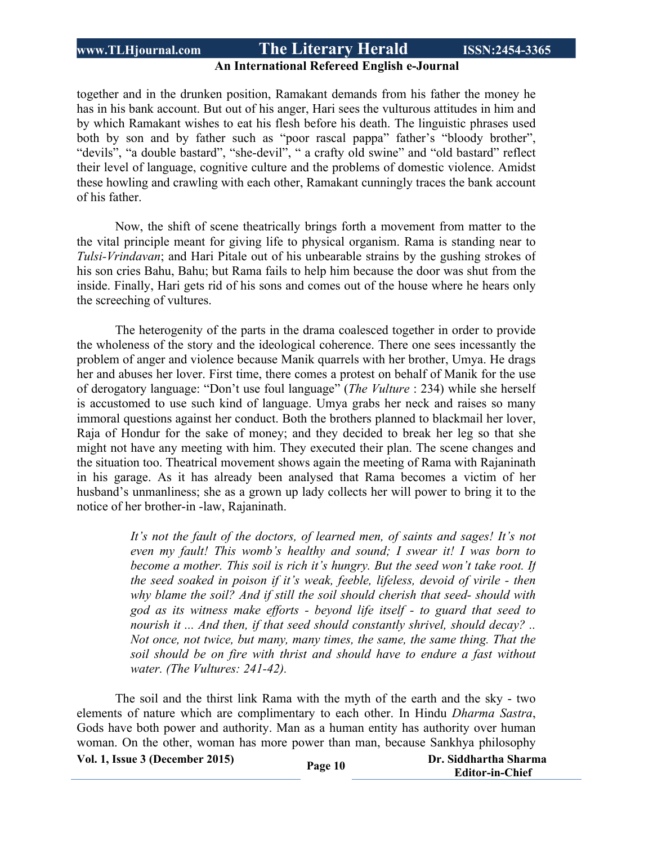#### **An International Refereed English e-Journal**

together and in the drunken position, Ramakant demands from his father the money he has in his bank account. But out of his anger, Hari sees the vulturous attitudes in him and by which Ramakant wishes to eat his flesh before his death. The linguistic phrases used both by son and by father such as "poor rascal pappa" father's "bloody brother", "devils", "a double bastard", "she-devil", " a crafty old swine" and "old bastard" reflect their level of language, cognitive culture and the problems of domestic violence. Amidst these howling and crawling with each other, Ramakant cunningly traces the bank account of his father.

Now, the shift of scene theatrically brings forth a movement from matter to the the vital principle meant for giving life to physical organism. Rama is standing near to *Tulsi-Vrindavan*; and Hari Pitale out of his unbearable strains by the gushing strokes of his son cries Bahu, Bahu; but Rama fails to help him because the door was shut from the inside. Finally, Hari gets rid of his sons and comes out of the house where he hears only the screeching of vultures.

The heterogenity of the parts in the drama coalesced together in order to provide the wholeness of the story and the ideological coherence. There one sees incessantly the problem of anger and violence because Manik quarrels with her brother, Umya. He drags her and abuses her lover. First time, there comes a protest on behalf of Manik for the use of derogatory language: "Don't use foul language" (*The Vulture* : 234) while she herself is accustomed to use such kind of language. Umya grabs her neck and raises so many immoral questions against her conduct. Both the brothers planned to blackmail her lover, Raja of Hondur for the sake of money; and they decided to break her leg so that she might not have any meeting with him. They executed their plan. The scene changes and the situation too. Theatrical movement shows again the meeting of Rama with Rajaninath in his garage. As it has already been analysed that Rama becomes a victim of her husband's unmanliness; she as a grown up lady collects her will power to bring it to the notice of her brother-in -law, Rajaninath.

> *It's not the fault of the doctors, of learned men, of saints and sages! It's not even my fault! This womb's healthy and sound; I swear it! I was born to become a mother. This soil is rich it's hungry. But the seed won't take root. If the seed soaked in poison if it's weak, feeble, lifeless, devoid of virile - then why blame the soil? And if still the soil should cherish that seed- should with god as its witness make efforts - beyond life itself - to guard that seed to nourish it ... And then, if that seed should constantly shrivel, should decay? .. Not once, not twice, but many, many times, the same, the same thing. That the soil should be on fire with thrist and should have to endure a fast without water. (The Vultures: 241-42).*

The soil and the thirst link Rama with the myth of the earth and the sky - two elements of nature which are complimentary to each other. In Hindu *Dharma Sastra*, Gods have both power and authority. Man as a human entity has authority over human woman. On the other, woman has more power than man, because Sankhya philosophy

**Vol. 1, Issue <sup>3</sup> (December 2015) Page <sup>10</sup> Dr. Siddhartha Sharma**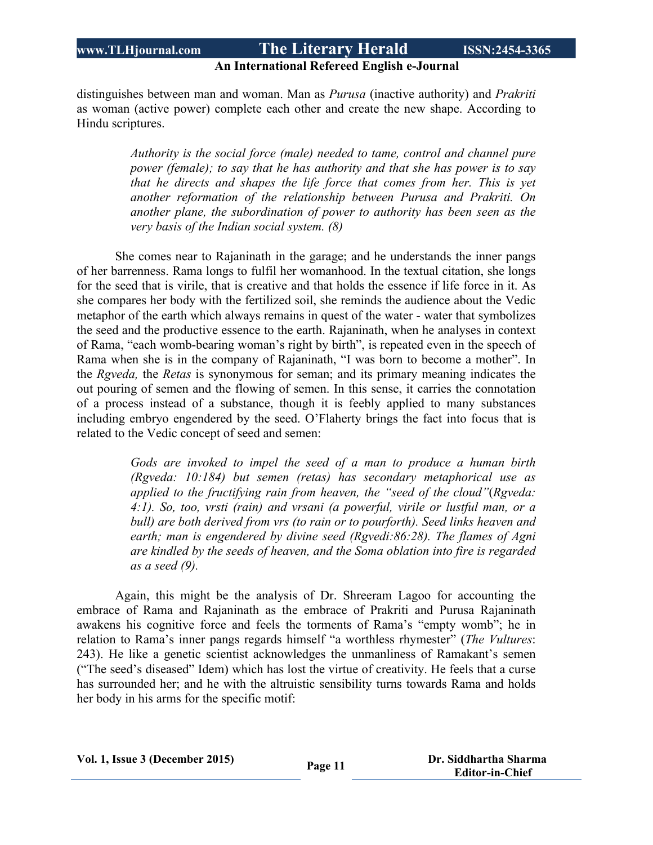#### **An International Refereed English e-Journal**

distinguishes between man and woman. Man as *Purusa* (inactive authority) and *Prakriti* as woman (active power) complete each other and create the new shape. According to Hindu scriptures.

> *Authority is the social force (male) needed to tame, control and channel pure power (female); to say that he has authority and that she has power is to say that he directs and shapes the life force that comes from her. This is yet another reformation of the relationship between Purusa and Prakriti. On another plane, the subordination of power to authority has been seen as the very basis of the Indian social system. (8)*

She comes near to Rajaninath in the garage; and he understands the inner pangs of her barrenness. Rama longs to fulfil her womanhood. In the textual citation, she longs for the seed that is virile, that is creative and that holds the essence if life force in it. As she compares her body with the fertilized soil, she reminds the audience about the Vedic metaphor of the earth which always remains in quest of the water - water that symbolizes the seed and the productive essence to the earth. Rajaninath, when he analyses in context of Rama, "each womb-bearing woman's right by birth", is repeated even in the speech of Rama when she is in the company of Rajaninath, "I was born to become a mother". In the *Rgveda,* the *Retas* is synonymous for seman; and its primary meaning indicates the out pouring of semen and the flowing of semen. In this sense, it carries the connotation of a process instead of a substance, though it is feebly applied to many substances including embryo engendered by the seed. O'Flaherty brings the fact into focus that is related to the Vedic concept of seed and semen:

> *Gods are invoked to impel the seed of a man to produce a human birth (Rgveda: 10:184) but semen (retas) has secondary metaphorical use as applied to the fructifying rain from heaven, the "seed of the cloud"*(*Rgveda: 4:1). So, too, vrsti (rain) and vrsani (a powerful, virile or lustful man, or a bull) are both derived from vrs (to rain or to pourforth). Seed links heaven and earth; man is engendered by divine seed (Rgvedi:86:28). The flames of Agni are kindled by the seeds of heaven, and the Soma oblation into fire is regarded as a seed (9).*

Again, this might be the analysis of Dr. Shreeram Lagoo for accounting the embrace of Rama and Rajaninath as the embrace of Prakriti and Purusa Rajaninath awakens his cognitive force and feels the torments of Rama's "empty womb"; he in relation to Rama's inner pangs regards himself "a worthless rhymester" (*The Vultures*: 243). He like a genetic scientist acknowledges the unmanliness of Ramakant's semen ("The seed's diseased" Idem) which has lost the virtue of creativity. He feels that a curse has surrounded her; and he with the altruistic sensibility turns towards Rama and holds her body in his arms for the specific motif: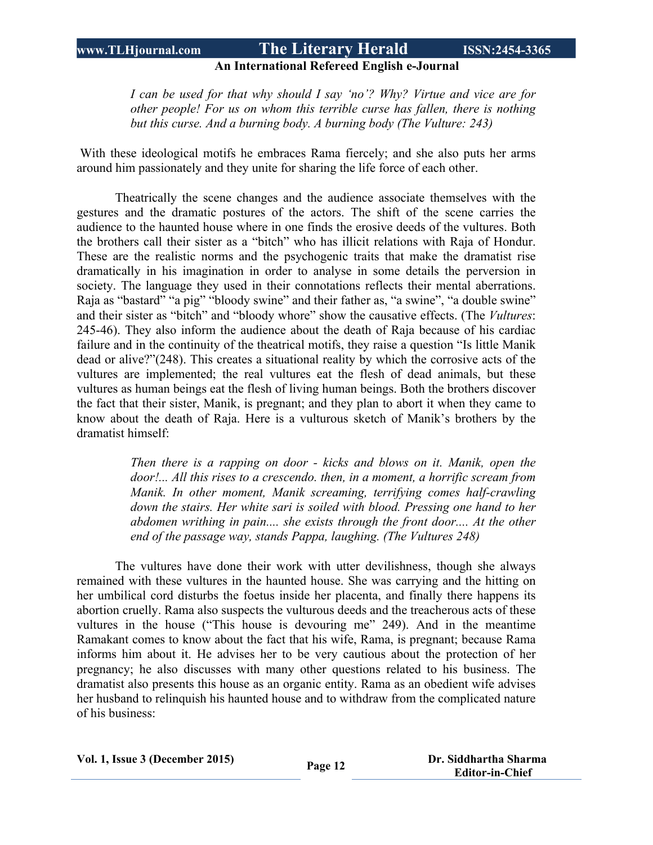#### **An International Refereed English e-Journal**

*I can be used for that why should I say 'no'? Why? Virtue and vice are for other people! For us on whom this terrible curse has fallen, there is nothing but this curse. And a burning body. A burning body (The Vulture: 243)*

With these ideological motifs he embraces Rama fiercely; and she also puts her arms around him passionately and they unite for sharing the life force of each other.

Theatrically the scene changes and the audience associate themselves with the gestures and the dramatic postures of the actors. The shift of the scene carries the audience to the haunted house where in one finds the erosive deeds of the vultures. Both the brothers call their sister as a "bitch" who has illicit relations with Raja of Hondur. These are the realistic norms and the psychogenic traits that make the dramatist rise dramatically in his imagination in order to analyse in some details the perversion in society. The language they used in their connotations reflects their mental aberrations. Raja as "bastard" "a pig" "bloody swine" and their father as, "a swine", "a double swine" and their sister as "bitch" and "bloody whore" show the causative effects. (The *Vultures*: 245-46). They also inform the audience about the death of Raja because of his cardiac failure and in the continuity of the theatrical motifs, they raise a question "Is little Manik dead or alive?"(248). This creates a situational reality by which the corrosive acts of the vultures are implemented; the real vultures eat the flesh of dead animals, but these vultures as human beings eat the flesh of living human beings. Both the brothers discover the fact that their sister, Manik, is pregnant; and they plan to abort it when they came to know about the death of Raja. Here is a vulturous sketch of Manik's brothers by the dramatist himself:

> *Then there is a rapping on door - kicks and blows on it. Manik, open the door!... All this rises to a crescendo. then, in a moment, a horrific scream from Manik. In other moment, Manik screaming, terrifying comes half-crawling down the stairs. Her white sari is soiled with blood. Pressing one hand to her abdomen writhing in pain.... she exists through the front door.... At the other end of the passage way, stands Pappa, laughing. (The Vultures 248)*

The vultures have done their work with utter devilishness, though she always remained with these vultures in the haunted house. She was carrying and the hitting on her umbilical cord disturbs the foetus inside her placenta, and finally there happens its abortion cruelly. Rama also suspects the vulturous deeds and the treacherous acts of these vultures in the house ("This house is devouring me" 249). And in the meantime Ramakant comes to know about the fact that his wife, Rama, is pregnant; because Rama informs him about it. He advises her to be very cautious about the protection of her pregnancy; he also discusses with many other questions related to his business. The dramatist also presents this house as an organic entity. Rama as an obedient wife advises her husband to relinquish his haunted house and to withdraw from the complicated nature of his business:

**Vol. 1, Issue <sup>3</sup> (December 2015) Page <sup>12</sup> Dr. Siddhartha Sharma**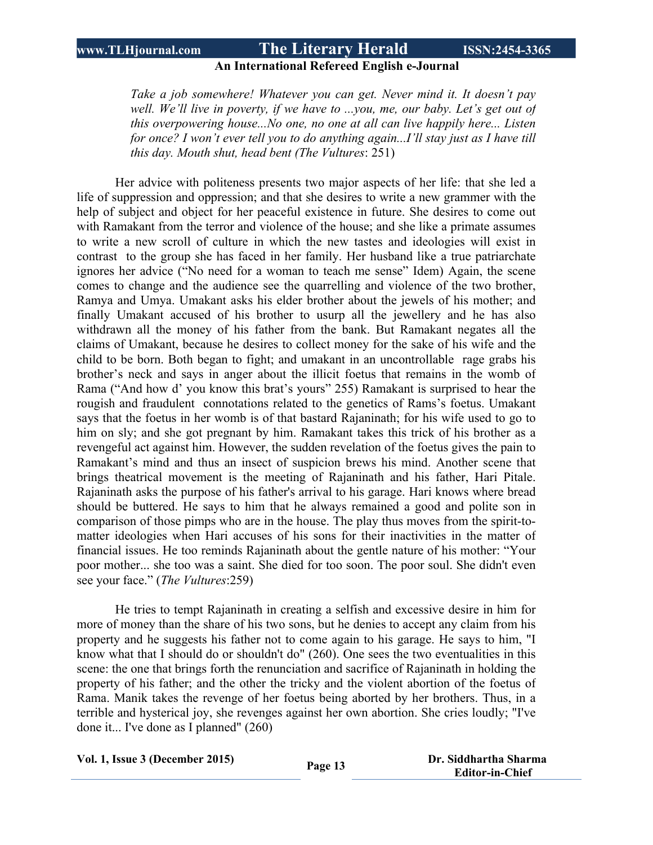#### **An International Refereed English e-Journal**

*Take a job somewhere! Whatever you can get. Never mind it. It doesn't pay well. We'll live in poverty, if we have to ...you, me, our baby. Let's get out of this overpowering house...No one, no one at all can live happily here... Listen for once? I won't ever tell you to do anything again...I'll stay just as I have till this day. Mouth shut, head bent (The Vultures*: 251)

Her advice with politeness presents two major aspects of her life: that she led a life of suppression and oppression; and that she desires to write a new grammer with the help of subject and object for her peaceful existence in future. She desires to come out with Ramakant from the terror and violence of the house; and she like a primate assumes to write a new scroll of culture in which the new tastes and ideologies will exist in contrast to the group she has faced in her family. Her husband like a true patriarchate ignores her advice ("No need for a woman to teach me sense" Idem) Again, the scene comes to change and the audience see the quarrelling and violence of the two brother, Ramya and Umya. Umakant asks his elder brother about the jewels of his mother; and finally Umakant accused of his brother to usurp all the jewellery and he has also withdrawn all the money of his father from the bank. But Ramakant negates all the claims of Umakant, because he desires to collect money for the sake of his wife and the child to be born. Both began to fight; and umakant in an uncontrollable rage grabs his brother's neck and says in anger about the illicit foetus that remains in the womb of Rama ("And how d' you know this brat's yours" 255) Ramakant is surprised to hear the rougish and fraudulent connotations related to the genetics of Rams's foetus. Umakant says that the foetus in her womb is of that bastard Rajaninath; for his wife used to go to him on sly; and she got pregnant by him. Ramakant takes this trick of his brother as a revengeful act against him. However, the sudden revelation of the foetus gives the pain to Ramakant's mind and thus an insect of suspicion brews his mind. Another scene that brings theatrical movement is the meeting of Rajaninath and his father, Hari Pitale. Rajaninath asks the purpose of his father's arrival to his garage. Hari knows where bread should be buttered. He says to him that he always remained a good and polite son in comparison of those pimps who are in the house. The play thus moves from the spirit-tomatter ideologies when Hari accuses of his sons for their inactivities in the matter of financial issues. He too reminds Rajaninath about the gentle nature of his mother: "Your poor mother... she too was a saint. She died for too soon. The poor soul. She didn't even see your face." (*The Vultures*:259)

He tries to tempt Rajaninath in creating a selfish and excessive desire in him for more of money than the share of his two sons, but he denies to accept any claim from his property and he suggests his father not to come again to his garage. He says to him, "I know what that I should do or shouldn't do" (260). One sees the two eventualities in this scene: the one that brings forth the renunciation and sacrifice of Rajaninath in holding the property of his father; and the other the tricky and the violent abortion of the foetus of Rama. Manik takes the revenge of her foetus being aborted by her brothers. Thus, in a terrible and hysterical joy, she revenges against her own abortion. She cries loudly; "I've done it... I've done as I planned" (260)

|  |  | Vol. 1, Issue 3 (December 2015) |  |
|--|--|---------------------------------|--|
|--|--|---------------------------------|--|

**Vol. 1, Issue <sup>3</sup> (December 2015) Page <sup>13</sup> Dr. Siddhartha Sharma Editor-in-Chief**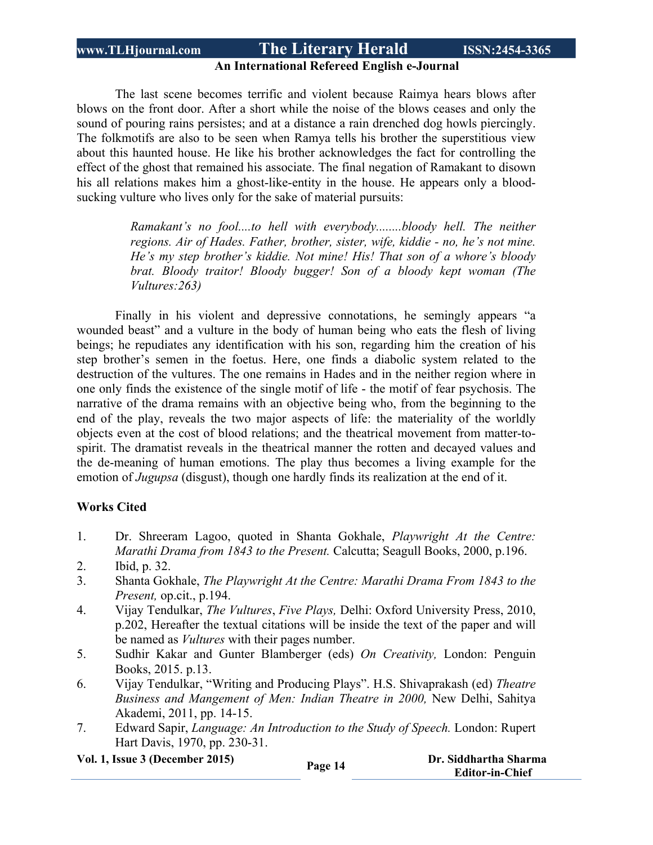### **An International Refereed English e-Journal**

The last scene becomes terrific and violent because Raimya hears blows after blows on the front door. After a short while the noise of the blows ceases and only the sound of pouring rains persistes; and at a distance a rain drenched dog howls piercingly. The folkmotifs are also to be seen when Ramya tells his brother the superstitious view about this haunted house. He like his brother acknowledges the fact for controlling the effect of the ghost that remained his associate. The final negation of Ramakant to disown his all relations makes him a ghost-like-entity in the house. He appears only a bloodsucking vulture who lives only for the sake of material pursuits:

> *Ramakant's no fool....to hell with everybody........bloody hell. The neither regions. Air of Hades. Father, brother, sister, wife, kiddie - no, he's not mine. He's my step brother's kiddie. Not mine! His! That son of a whore's bloody brat. Bloody traitor! Bloody bugger! Son of a bloody kept woman (The Vultures:263)*

Finally in his violent and depressive connotations, he semingly appears "a wounded beast" and a vulture in the body of human being who eats the flesh of living beings; he repudiates any identification with his son, regarding him the creation of his step brother's semen in the foetus. Here, one finds a diabolic system related to the destruction of the vultures. The one remains in Hades and in the neither region where in one only finds the existence of the single motif of life - the motif of fear psychosis. The narrative of the drama remains with an objective being who, from the beginning to the end of the play, reveals the two major aspects of life: the materiality of the worldly objects even at the cost of blood relations; and the theatrical movement from matter-tospirit. The dramatist reveals in the theatrical manner the rotten and decayed values and the de-meaning of human emotions. The play thus becomes a living example for the emotion of *Jugupsa* (disgust), though one hardly finds its realization at the end of it.

### **Works Cited**

- 1. Dr. Shreeram Lagoo, quoted in Shanta Gokhale, *Playwright At the Centre: Marathi Drama from 1843 to the Present.* Calcutta; Seagull Books, 2000, p.196.
- 2. Ibid, p. 32.
- 3. Shanta Gokhale, *The Playwright At the Centre: Marathi Drama From 1843 to the Present,* op.cit., p.194.
- 4. Vijay Tendulkar, *The Vultures*, *Five Plays,* Delhi: Oxford University Press, 2010, p.202, Hereafter the textual citations will be inside the text of the paper and will be named as *Vultures* with their pages number.
- 5. Sudhir Kakar and Gunter Blamberger (eds) *On Creativity,* London: Penguin Books, 2015. p.13.
- 6. Vijay Tendulkar, "Writing and Producing Plays". H.S. Shivaprakash (ed) *Theatre Business and Mangement of Men: Indian Theatre in 2000,* New Delhi, Sahitya Akademi, 2011, pp. 14-15.
- 7. Edward Sapir, *Language: An Introduction to the Study of Speech.* London: Rupert Hart Davis, 1970, pp. 230-31.

**Vol. 1, Issue <sup>3</sup> (December 2015) Page <sup>14</sup> Dr. Siddhartha Sharma**

 **Editor-in-Chief**